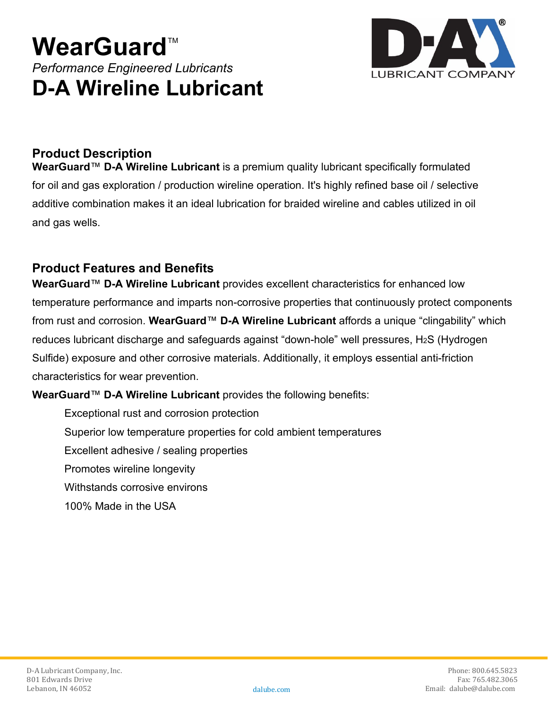# **WearGuard™** *Performance Engineered Lubricants* **D-A Wireline Lubricant**



## **Product Description**

**WearGuard**™ **D-A Wireline Lubricant** is a premium quality lubricant specifically formulated for oil and gas exploration / production wireline operation. It's highly refined base oil / selective additive combination makes it an ideal lubrication for braided wireline and cables utilized in oil and gas wells.

## **Product Features and Benefits**

**WearGuard**™ **D-A Wireline Lubricant** provides excellent characteristics for enhanced low temperature performance and imparts non-corrosive properties that continuously protect components from rust and corrosion. **WearGuard**™ **D-A Wireline Lubricant** affords a unique "clingability" which reduces lubricant discharge and safeguards against "down-hole" well pressures, H2S (Hydrogen Sulfide) exposure and other corrosive materials. Additionally, it employs essential anti-friction characteristics for wear prevention.

#### **WearGuard**™ **D-A Wireline Lubricant** provides the following benefits:

Exceptional rust and corrosion protection

Superior low temperature properties for cold ambient temperatures

Excellent adhesive / sealing properties

Promotes wireline longevity

Withstands corrosive environs

100% Made in the USA